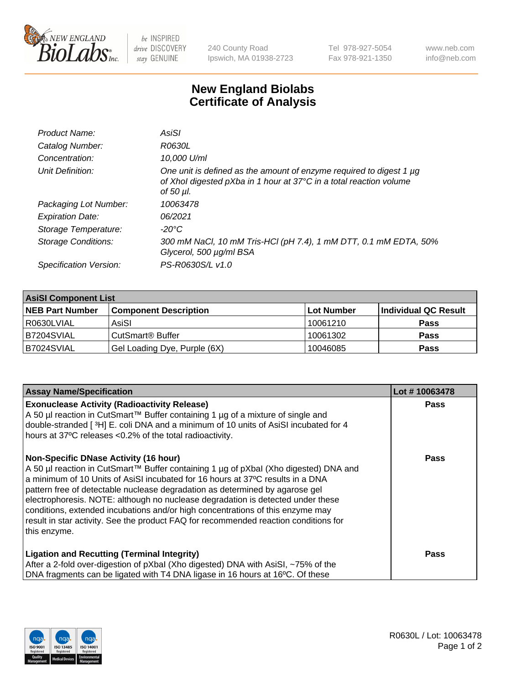

 $be$  INSPIRED drive DISCOVERY stay GENUINE

240 County Road Ipswich, MA 01938-2723 Tel 978-927-5054 Fax 978-921-1350 www.neb.com info@neb.com

## **New England Biolabs Certificate of Analysis**

| Product Name:              | AsiSI                                                                                                                                                  |
|----------------------------|--------------------------------------------------------------------------------------------------------------------------------------------------------|
| Catalog Number:            | R0630L                                                                                                                                                 |
| Concentration:             | 10,000 U/ml                                                                                                                                            |
| Unit Definition:           | One unit is defined as the amount of enzyme required to digest 1 µg<br>of Xhol digested pXba in 1 hour at 37°C in a total reaction volume<br>of 50 µl. |
| Packaging Lot Number:      | 10063478                                                                                                                                               |
| <b>Expiration Date:</b>    | 06/2021                                                                                                                                                |
| Storage Temperature:       | -20°C                                                                                                                                                  |
| <b>Storage Conditions:</b> | 300 mM NaCl, 10 mM Tris-HCl (pH 7.4), 1 mM DTT, 0.1 mM EDTA, 50%<br>Glycerol, 500 µg/ml BSA                                                            |
| Specification Version:     | PS-R0630S/L v1.0                                                                                                                                       |
|                            |                                                                                                                                                        |

| <b>AsiSI Component List</b> |                              |             |                      |  |  |
|-----------------------------|------------------------------|-------------|----------------------|--|--|
| <b>NEB Part Number</b>      | <b>Component Description</b> | ∣Lot Number | Individual QC Result |  |  |
| R0630LVIAL                  | AsiSI                        | 10061210    | <b>Pass</b>          |  |  |
| B7204SVIAL                  | CutSmart <sup>®</sup> Buffer | 10061302    | <b>Pass</b>          |  |  |
| B7024SVIAL                  | Gel Loading Dye, Purple (6X) | 10046085    | <b>Pass</b>          |  |  |

| <b>Assay Name/Specification</b>                                                                                                                                                                                                                                                                                                                                                                                                                                                                                                                                                     | Lot #10063478 |
|-------------------------------------------------------------------------------------------------------------------------------------------------------------------------------------------------------------------------------------------------------------------------------------------------------------------------------------------------------------------------------------------------------------------------------------------------------------------------------------------------------------------------------------------------------------------------------------|---------------|
| <b>Exonuclease Activity (Radioactivity Release)</b><br>A 50 µl reaction in CutSmart™ Buffer containing 1 µg of a mixture of single and<br>double-stranded [3H] E. coli DNA and a minimum of 10 units of AsiSI incubated for 4<br>hours at 37°C releases <0.2% of the total radioactivity.                                                                                                                                                                                                                                                                                           | Pass          |
| <b>Non-Specific DNase Activity (16 hour)</b><br>A 50 µl reaction in CutSmart™ Buffer containing 1 µg of pXbal (Xho digested) DNA and<br>a minimum of 10 Units of AsiSI incubated for 16 hours at 37°C results in a DNA<br>pattern free of detectable nuclease degradation as determined by agarose gel<br>electrophoresis. NOTE: although no nuclease degradation is detected under these<br>conditions, extended incubations and/or high concentrations of this enzyme may<br>result in star activity. See the product FAQ for recommended reaction conditions for<br>this enzyme. | Pass          |
| <b>Ligation and Recutting (Terminal Integrity)</b><br>After a 2-fold over-digestion of pXbal (Xho digested) DNA with AsiSI, ~75% of the<br>DNA fragments can be ligated with T4 DNA ligase in 16 hours at 16°C. Of these                                                                                                                                                                                                                                                                                                                                                            | Pass          |